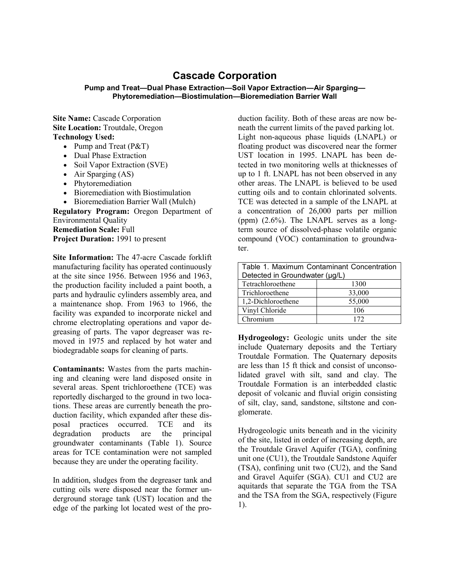## **Cascade Corporation**

## **Pump and Treat—Dual Phase Extraction—Soil Vapor Extraction—Air Sparging— Phytoremediation—Biostimulation—Bioremediation Barrier Wall**

**Site Name:** Cascade Corporation **Site Location:** Troutdale, Oregon **Technology Used:**

- Pump and Treat (P&T)
- Dual Phase Extraction
- Soil Vapor Extraction (SVE)
- Air Sparging (AS)
- Phytoremediation
- Bioremediation with Biostimulation
- Bioremediation Barrier Wall (Mulch)

**Regulatory Program:** Oregon Department of Environmental Quality **Remediation Scale:** Full **Project Duration:** 1991 to present

**Site Information:** The 47-acre Cascade forklift manufacturing facility has operated continuously at the site since 1956. Between 1956 and 1963, the production facility included a paint booth, a parts and hydraulic cylinders assembly area, and a maintenance shop. From 1963 to 1966, the facility was expanded to incorporate nickel and chrome electroplating operations and vapor degreasing of parts. The vapor degreaser was removed in 1975 and replaced by hot water and biodegradable soaps for cleaning of parts.

**Contaminants:** Wastes from the parts machining and cleaning were land disposed onsite in several areas. Spent trichloroethene (TCE) was reportedly discharged to the ground in two locations. These areas are currently beneath the production facility, which expanded after these disposal practices occurred. TCE and its degradation products are the principal groundwater contaminants (Table 1). Source areas for TCE contamination were not sampled because they are under the operating facility.

In addition, sludges from the degreaser tank and cutting oils were disposed near the former underground storage tank (UST) location and the edge of the parking lot located west of the production facility. Both of these areas are now beneath the current limits of the paved parking lot. Light non-aqueous phase liquids (LNAPL) or floating product was discovered near the former UST location in 1995. LNAPL has been detected in two monitoring wells at thicknesses of up to 1 ft. LNAPL has not been observed in any other areas. The LNAPL is believed to be used cutting oils and to contain chlorinated solvents. TCE was detected in a sample of the LNAPL at a concentration of 26,000 parts per million (ppm)  $(2.6\%)$ . The LNAPL serves as a longterm source of dissolved-phase volatile organic compound (VOC) contamination to groundwater.

| Table 1. Maximum Contaminant Concentration |        |
|--------------------------------------------|--------|
| Detected in Groundwater (µg/L)             |        |
| Tetrachloroethene                          | 1300   |
| Trichloroethene                            | 33,000 |
| 1,2-Dichloroethene                         | 55,000 |
| Vinyl Chloride                             | 106    |
| Chromium                                   | 172    |

**Hydrogeology:** Geologic units under the site include Quaternary deposits and the Tertiary Troutdale Formation. The Quaternary deposits are less than 15 ft thick and consist of unconsolidated gravel with silt, sand and clay. The Troutdale Formation is an interbedded clastic deposit of volcanic and fluvial origin consisting of silt, clay, sand, sandstone, siltstone and conglomerate.

Hydrogeologic units beneath and in the vicinity of the site, listed in order of increasing depth, are the Troutdale Gravel Aquifer (TGA), confining unit one (CU1), the Troutdale Sandstone Aquifer (TSA), confining unit two (CU2), and the Sand and Gravel Aquifer (SGA). CU1 and CU2 are aquitards that separate the TGA from the TSA and the TSA from the SGA, respectively (Figure 1).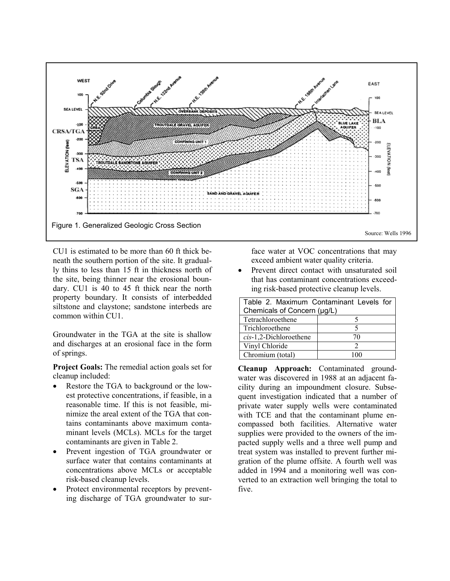

CU1 is estimated to be more than 60 ft thick beneath the southern portion of the site. It gradually thins to less than 15 ft in thickness north of the site, being thinner near the erosional boundary. CU1 is 40 to 45 ft thick near the north property boundary. It consists of interbedded siltstone and claystone; sandstone interbeds are common within CU1.

Groundwater in the TGA at the site is shallow and discharges at an erosional face in the form of springs.

**Project Goals:** The remedial action goals set for cleanup included:

- Restore the TGA to background or the lowest protective concentrations, if feasible, in a reasonable time. If this is not feasible, minimize the areal extent of the TGA that contains contaminants above maximum contaminant levels (MCLs). MCLs for the target contaminants are given in Table 2.
- Prevent ingestion of TGA groundwater or surface water that contains contaminants at concentrations above MCLs or acceptable risk-based cleanup levels.
- Protect environmental receptors by preventing discharge of TGA groundwater to sur-

face water at VOC concentrations that may exceed ambient water quality criteria.

• Prevent direct contact with unsaturated soil that has contaminant concentrations exceeding risk-based protective cleanup levels.

| Table 2. Maximum Contaminant Levels for |    |
|-----------------------------------------|----|
| Chemicals of Concern (µg/L)             |    |
| Tetrachloroethene                       |    |
| Trichloroethene                         |    |
| $cis-1$ , 2-Dichloroethene              | 70 |
| Vinyl Chloride                          |    |
| Chromium (total)                        |    |

**Cleanup Approach:** Contaminated groundwater was discovered in 1988 at an adjacent facility during an impoundment closure. Subsequent investigation indicated that a number of private water supply wells were contaminated with TCE and that the contaminant plume encompassed both facilities. Alternative water supplies were provided to the owners of the impacted supply wells and a three well pump and treat system was installed to prevent further migration of the plume offsite. A fourth well was added in 1994 and a monitoring well was converted to an extraction well bringing the total to five.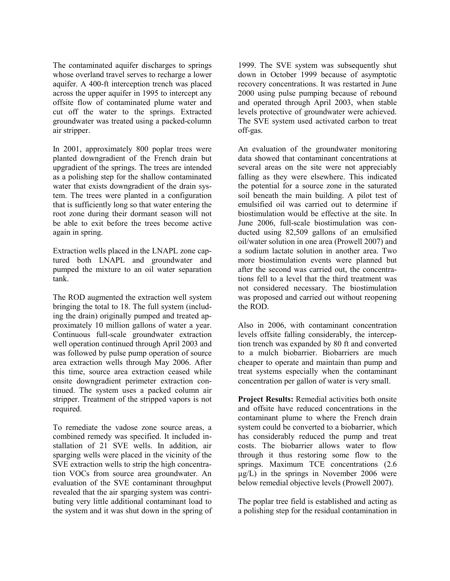The contaminated aquifer discharges to springs whose overland travel serves to recharge a lower aquifer. A 400-ft interception trench was placed across the upper aquifer in 1995 to intercept any offsite flow of contaminated plume water and cut off the water to the springs. Extracted groundwater was treated using a packed-column air stripper.

In 2001, approximately 800 poplar trees were planted downgradient of the French drain but upgradient of the springs. The trees are intended as a polishing step for the shallow contaminated water that exists downgradient of the drain system. The trees were planted in a configuration that is sufficiently long so that water entering the root zone during their dormant season will not be able to exit before the trees become active again in spring.

Extraction wells placed in the LNAPL zone captured both LNAPL and groundwater and pumped the mixture to an oil water separation tank.

The ROD augmented the extraction well system bringing the total to 18. The full system (including the drain) originally pumped and treated approximately 10 million gallons of water a year. Continuous full-scale groundwater extraction well operation continued through April 2003 and was followed by pulse pump operation of source area extraction wells through May 2006. After this time, source area extraction ceased while onsite downgradient perimeter extraction continued. The system uses a packed column air stripper. Treatment of the stripped vapors is not required.

To remediate the vadose zone source areas, a combined remedy was specified. It included installation of 21 SVE wells. In addition, air sparging wells were placed in the vicinity of the SVE extraction wells to strip the high concentration VOCs from source area groundwater. An evaluation of the SVE contaminant throughput revealed that the air sparging system was contributing very little additional contaminant load to the system and it was shut down in the spring of

1999. The SVE system was subsequently shut down in October 1999 because of asymptotic recovery concentrations. It was restarted in June 2000 using pulse pumping because of rebound and operated through April 2003, when stable levels protective of groundwater were achieved. The SVE system used activated carbon to treat off-gas.

An evaluation of the groundwater monitoring data showed that contaminant concentrations at several areas on the site were not appreciably falling as they were elsewhere. This indicated the potential for a source zone in the saturated soil beneath the main building. A pilot test of emulsified oil was carried out to determine if biostimulation would be effective at the site. In June 2006, full-scale biostimulation was conducted using 82,509 gallons of an emulsified oil/water solution in one area (Prowell 2007) and a sodium lactate solution in another area. Two more biostimulation events were planned but after the second was carried out, the concentrations fell to a level that the third treatment was not considered necessary. The biostimulation was proposed and carried out without reopening the ROD.

Also in 2006, with contaminant concentration levels offsite falling considerably, the interception trench was expanded by 80 ft and converted to a mulch biobarrier. Biobarriers are much cheaper to operate and maintain than pump and treat systems especially when the contaminant concentration per gallon of water is very small.

**Project Results:** Remedial activities both onsite and offsite have reduced concentrations in the contaminant plume to where the French drain system could be converted to a biobarrier, which has considerably reduced the pump and treat costs. The biobarrier allows water to flow through it thus restoring some flow to the springs. Maximum TCE concentrations (2.6  $\mu$ g/L) in the springs in November 2006 were below remedial objective levels (Prowell 2007).

The poplar tree field is established and acting as a polishing step for the residual contamination in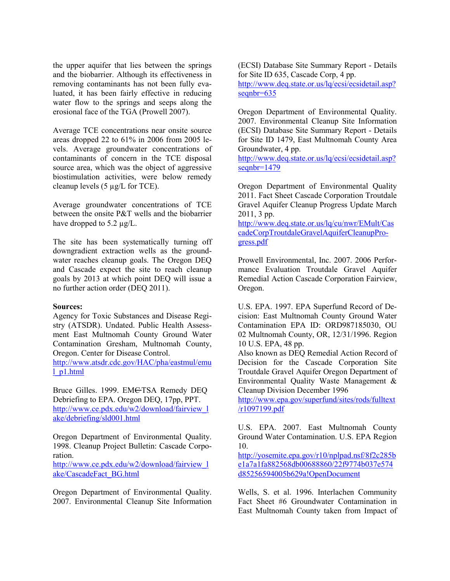the upper aquifer that lies between the springs and the biobarrier. Although its effectiveness in removing contaminants has not been fully evaluated, it has been fairly effective in reducing water flow to the springs and seeps along the erosional face of the TGA (Prowell 2007).

Average TCE concentrations near onsite source areas dropped 22 to 61% in 2006 from 2005 levels. Average groundwater concentrations of contaminants of concern in the TCE disposal source area, which was the object of aggressive biostimulation activities, were below remedy cleanup levels (5 µg/L for TCE).

Average groundwater concentrations of TCE between the onsite P&T wells and the biobarrier have dropped to 5.2  $\mu$ g/L.

The site has been systematically turning off downgradient extraction wells as the groundwater reaches cleanup goals. The Oregon DEQ and Cascade expect the site to reach cleanup goals by 2013 at which point DEQ will issue a no further action order (DEQ 2011).

## **Sources:**

Agency for Toxic Substances and Disease Registry (ATSDR). Undated. Public Health Assessment East Multnomah County Ground Water Contamination Gresham, Multnomah County, Oregon. Center for Disease Control.

[http://www.atsdr.cdc.gov/HAC/pha/eastmul/emu](http://www.atsdr.cdc.gov/HAC/pha/eastmul/emul_p1.html) [l\\_p1.html](http://www.atsdr.cdc.gov/HAC/pha/eastmul/emul_p1.html)

Bruce Gilles. 1999. EM<del>C</del>TSA Remedy DEQ Debriefing to EPA. Oregon DEQ, 17pp, PPT. [http://www.ce.pdx.edu/w2/download/fairview\\_l](http://www.ce.pdx.edu/w2/download/fairview_lake/debriefing/sld001.html) [ake/debriefing/sld001.html](http://www.ce.pdx.edu/w2/download/fairview_lake/debriefing/sld001.html)

Oregon Department of Environmental Quality. 1998. Cleanup Project Bulletin: Cascade Corporation.

[http://www.ce.pdx.edu/w2/download/fairview\\_l](http://www.ce.pdx.edu/w2/download/fairview_lake/CascadeFact_BG.html) [ake/CascadeFact\\_BG.html](http://www.ce.pdx.edu/w2/download/fairview_lake/CascadeFact_BG.html)

Oregon Department of Environmental Quality. 2007. Environmental Cleanup Site Information (ECSI) Database Site Summary Report - Details for Site ID 635, Cascade Corp, 4 pp. [http://www.deq.state.or.us/lq/ecsi/ecsidetail.asp?](http://www.deq.state.or.us/lq/ecsi/ecsidetail.asp?seqnbr=635)

[seqnbr=635](http://www.deq.state.or.us/lq/ecsi/ecsidetail.asp?seqnbr=635)

Oregon Department of Environmental Quality. 2007. Environmental Cleanup Site Information (ECSI) Database Site Summary Report - Details for Site ID 1479, East Multnomah County Area Groundwater, 4 pp.

[http://www.deq.state.or.us/lq/ecsi/ecsidetail.asp?](http://www.deq.state.or.us/lq/ecsi/ecsidetail.asp?seqnbr=1479) [seqnbr=1479](http://www.deq.state.or.us/lq/ecsi/ecsidetail.asp?seqnbr=1479)

Oregon Department of Environmental Quality 2011. Fact Sheet Cascade Corporation Troutdale Gravel Aquifer Cleanup Progress Update March 2011, 3 pp.

[http://www.deq.state.or.us/lq/cu/nwr/EMult/Cas](http://www.deq.state.or.us/lq/cu/nwr/EMult/CascadeCorpTroutdaleGravelAquiferCleanupProgress.pdf) [cadeCorpTroutdaleGravelAquiferCleanupPro](http://www.deq.state.or.us/lq/cu/nwr/EMult/CascadeCorpTroutdaleGravelAquiferCleanupProgress.pdf)[gress.pdf](http://www.deq.state.or.us/lq/cu/nwr/EMult/CascadeCorpTroutdaleGravelAquiferCleanupProgress.pdf)

Prowell Environmental, Inc. 2007. 2006 Performance Evaluation Troutdale Gravel Aquifer Remedial Action Cascade Corporation Fairview, Oregon.

U.S. EPA. 1997. EPA Superfund Record of Decision: East Multnomah County Ground Water Contamination EPA ID: ORD987185030, OU 02 Multnomah County, OR, 12/31/1996. Region 10 U.S. EPA, 48 pp.

Also known as DEQ Remedial Action Record of Decision for the Cascade Corporation Site Troutdale Gravel Aquifer Oregon Department of Environmental Quality Waste Management & Cleanup Division December 1996

[http://www.epa.gov/superfund/sites/rods/fulltext](http://www.epa.gov/superfund/sites/rods/fulltext/r1097199.pdf) [/r1097199.pdf](http://www.epa.gov/superfund/sites/rods/fulltext/r1097199.pdf)

U.S. EPA. 2007. East Multnomah County Ground Water Contamination. U.S. EPA Region 10.

[http://yosemite.epa.gov/r10/nplpad.nsf/8f2c285b](http://yosemite.epa.gov/r10/nplpad.nsf/8f2c285be1a7a1fa882568db00688860/22f9774b037e574d85256594005b629a!OpenDocument) [e1a7a1fa882568db00688860/22f9774b037e574](http://yosemite.epa.gov/r10/nplpad.nsf/8f2c285be1a7a1fa882568db00688860/22f9774b037e574d85256594005b629a!OpenDocument) [d85256594005b629a!OpenDocument](http://yosemite.epa.gov/r10/nplpad.nsf/8f2c285be1a7a1fa882568db00688860/22f9774b037e574d85256594005b629a!OpenDocument)

Wells, S. et al. 1996. Interlachen Community Fact Sheet #6 Groundwater Contamination in East Multnomah County taken from Impact of